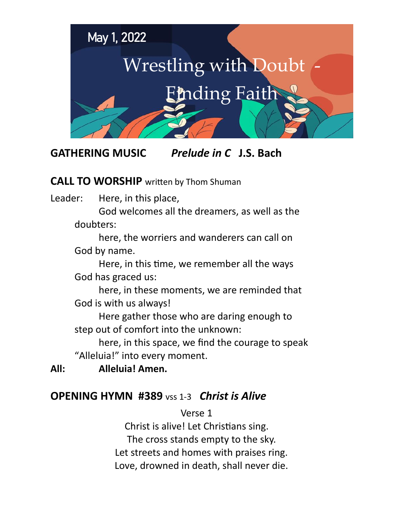

## **GATHERING MUSIC** *Prelude in C* **J.S. Bach**

## **CALL TO WORSHIP** written by Thom Shuman

Leader: Here, in this place,

God welcomes all the dreamers, as well as the doubters:

here, the worriers and wanderers can call on God by name.

Here, in this time, we remember all the ways God has graced us:

here, in these moments, we are reminded that God is with us always!

Here gather those who are daring enough to step out of comfort into the unknown:

here, in this space, we find the courage to speak "Alleluia!" into every moment.

**All: Alleluia! Amen.**

## **OPENING HYMN #389** vss 1-3 *Christ is Alive*

### Verse 1

Christ is alive! Let Christians sing. The cross stands empty to the sky. Let streets and homes with praises ring. Love, drowned in death, shall never die.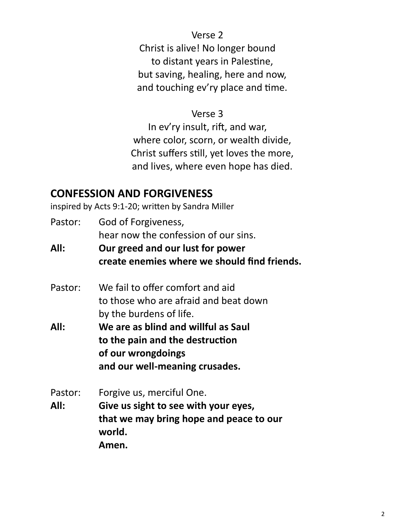### Verse 2

Christ is alive! No longer bound to distant years in Palestine, but saving, healing, here and now, and touching ev'ry place and time.

### Verse 3

In ev'ry insult, rift, and war, where color, scorn, or wealth divide, Christ suffers still, yet loves the more, and lives, where even hope has died.

## **CONFESSION AND FORGIVENESS**

inspired by Acts 9:1-20; written by Sandra Miller

| Pastor: | God of Forgiveness,                  |
|---------|--------------------------------------|
|         | hear now the confession of our sins. |

- **All: Our greed and our lust for power create enemies where we should find friends.**
- Pastor: We fail to offer comfort and aid to those who are afraid and beat down by the burdens of life.
- **All: We are as blind and willful as Saul to the pain and the destruction of our wrongdoings and our well-meaning crusades.**

Pastor: Forgive us, merciful One. **All: Give us sight to see with your eyes, that we may bring hope and peace to our world. Amen.**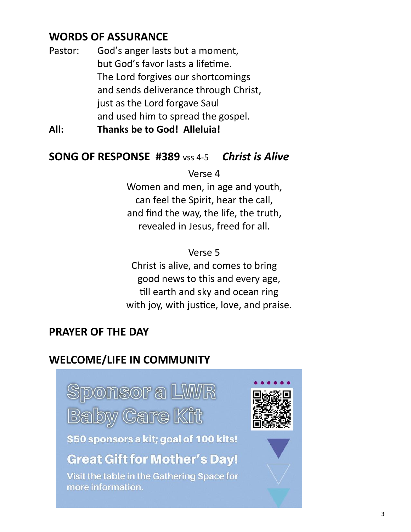## **WORDS OF ASSURANCE**

Pastor: God's anger lasts but a moment, but God's favor lasts a lifetime. The Lord forgives our shortcomings and sends deliverance through Christ, just as the Lord forgave Saul and used him to spread the gospel.

**All: Thanks be to God! Alleluia!**

### **SONG OF RESPONSE #389** vss 4-5 *Christ is Alive*

Verse 4

Women and men, in age and youth, can feel the Spirit, hear the call, and find the way, the life, the truth, revealed in Jesus, freed for all.

Verse 5 Christ is alive, and comes to bring good news to this and every age, till earth and sky and ocean ring with joy, with justice, love, and praise.

## **PRAYER OF THE DAY**

## **WELCOME/LIFE IN COMMUNITY**





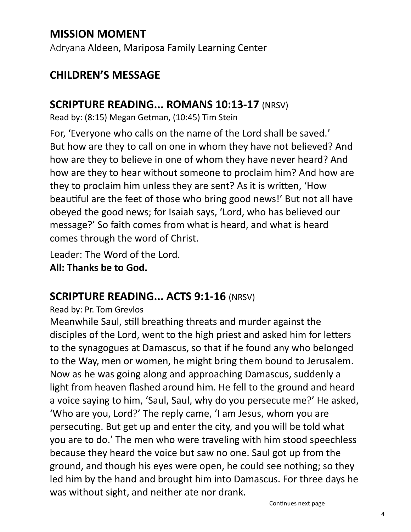## **MISSION MOMENT**

Adryana Aldeen, Mariposa Family Learning Center

## **CHILDREN'S MESSAGE**

## **SCRIPTURE READING... ROMANS 10:13-17** (NRSV)

Read by: (8:15) Megan Getman, (10:45) Tim Stein

For, 'Everyone who calls on the name of the Lord shall be saved.' But how are they to call on one in whom they have not believed? And how are they to believe in one of whom they have never heard? And how are they to hear without someone to proclaim him? And how are they to proclaim him unless they are sent? As it is written, 'How beautiful are the feet of those who bring good news!' But not all have obeyed the good news; for Isaiah says, 'Lord, who has believed our message?' So faith comes from what is heard, and what is heard comes through the word of Christ.

Leader: The Word of the Lord.

**All: Thanks be to God.**

## **SCRIPTURE READING... ACTS 9:1-16** (NRSV)

#### Read by: Pr. Tom Grevlos

Meanwhile Saul, still breathing threats and murder against the disciples of the Lord, went to the high priest and asked him for letters to the synagogues at Damascus, so that if he found any who belonged to the Way, men or women, he might bring them bound to Jerusalem. Now as he was going along and approaching Damascus, suddenly a light from heaven flashed around him. He fell to the ground and heard a voice saying to him, 'Saul, Saul, why do you persecute me?' He asked, 'Who are you, Lord?' The reply came, 'I am Jesus, whom you are persecuting. But get up and enter the city, and you will be told what you are to do.' The men who were traveling with him stood speechless because they heard the voice but saw no one. Saul got up from the ground, and though his eyes were open, he could see nothing; so they led him by the hand and brought him into Damascus. For three days he was without sight, and neither ate nor drank.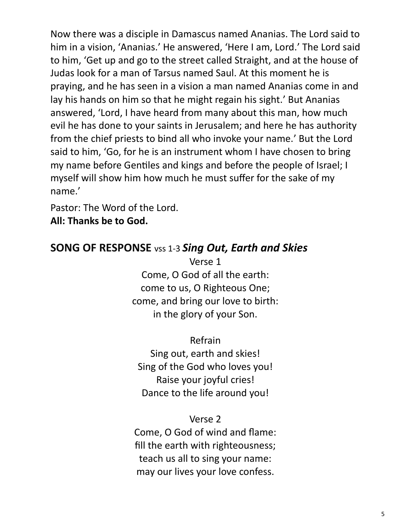Now there was a disciple in Damascus named Ananias. The Lord said to him in a vision, 'Ananias.' He answered, 'Here I am, Lord.' The Lord said to him, 'Get up and go to the street called Straight, and at the house of Judas look for a man of Tarsus named Saul. At this moment he is praying, and he has seen in a vision a man named Ananias come in and lay his hands on him so that he might regain his sight.' But Ananias answered, 'Lord, I have heard from many about this man, how much evil he has done to your saints in Jerusalem; and here he has authority from the chief priests to bind all who invoke your name.' But the Lord said to him, 'Go, for he is an instrument whom I have chosen to bring my name before Gentiles and kings and before the people of Israel; I myself will show him how much he must suffer for the sake of my name.'

Pastor: The Word of the Lord. **All: Thanks be to God.**

## **SONG OF RESPONSE** vss 1-3 *Sing Out, Earth and Skies*

Verse 1 Come, O God of all the earth: come to us, O Righteous One; come, and bring our love to birth: in the glory of your Son.

Refrain Sing out, earth and skies! Sing of the God who loves you! Raise your joyful cries! Dance to the life around you!

#### Verse 2

Come, O God of wind and flame: fill the earth with righteousness; teach us all to sing your name: may our lives your love confess.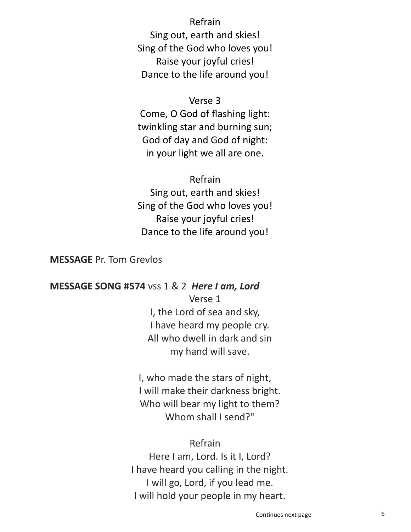Refrain Sing out, earth and skies! Sing of the God who loves you! Raise your joyful cries! Dance to the life around you!

## Verse 3

Come, O God of flashing light: twinkling star and burning sun; God of day and God of night: in your light we all are one.

#### Refrain

Sing out, earth and skies! Sing of the God who loves you! Raise your joyful cries! Dance to the life around you!

#### **MESSAGE** Pr. Tom Grevlos

### **MESSAGE SONG #574** vss 1 & 2 *Here I am, Lord*  Verse 1 I, the Lord of sea and sky,

 I have heard my people cry. All who dwell in dark and sin my hand will save.

I, who made the stars of night, I will make their darkness bright. Who will bear my light to them? Whom shall I send?"

### Refrain

 Here I am, Lord. Is it I, Lord? I have heard you calling in the night. I will go, Lord, if you lead me. I will hold your people in my heart.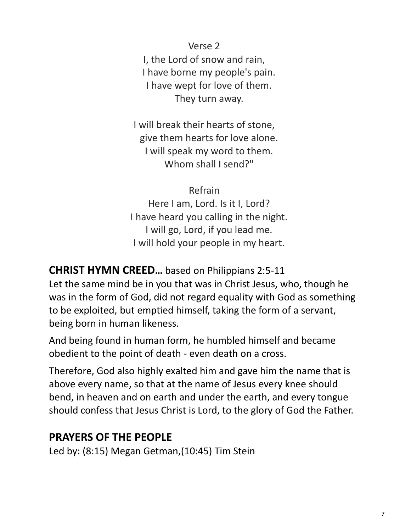Verse 2 I, the Lord of snow and rain, I have borne my people's pain. I have wept for love of them. They turn away.

I will break their hearts of stone, give them hearts for love alone. I will speak my word to them. Whom shall I send?"

### Refrain

 Here I am, Lord. Is it I, Lord? I have heard you calling in the night. I will go, Lord, if you lead me. I will hold your people in my heart.

## **CHRIST HYMN CREED…** based on Philippians 2:5-11

Let the same mind be in you that was in Christ Jesus, who, though he was in the form of God, did not regard equality with God as something to be exploited, but emptied himself, taking the form of a servant, being born in human likeness.

And being found in human form, he humbled himself and became obedient to the point of death - even death on a cross.

Therefore, God also highly exalted him and gave him the name that is above every name, so that at the name of Jesus every knee should bend, in heaven and on earth and under the earth, and every tongue should confess that Jesus Christ is Lord, to the glory of God the Father.

## **PRAYERS OF THE PEOPLE**

Led by: (8:15) Megan Getman,(10:45) Tim Stein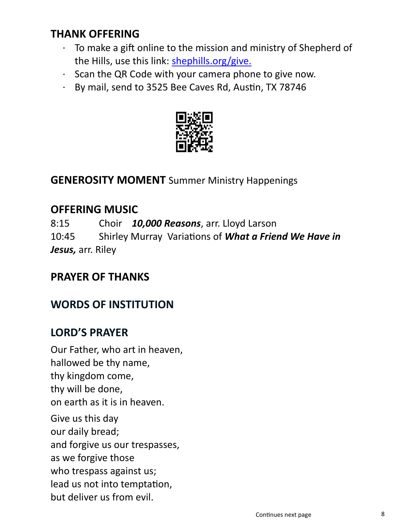## **THANK OFFERING**

- · To make a gift online to the mission and ministry of Shepherd of the Hills, use this link: [shephills.org/give.](https://shephills.org/give/)
- · Scan the QR Code with your camera phone to give now.
- · By mail, send to 3525 Bee Caves Rd, Austin, TX 78746



**GENEROSITY MOMENT** Summer Ministry Happenings

## **OFFERING MUSIC**

8:15 Choir *10,000 Reasons*, arr. Lloyd Larson 10:45 Shirley Murray Variations of *What a Friend We Have in Jesus,* arr. Riley

## **PRAYER OF THANKS**

## **WORDS OF INSTITUTION**

## **LORD'S PRAYER**

Our Father, who art in heaven, hallowed be thy name, thy kingdom come, thy will be done, on earth as it is in heaven.

Give us this day our daily bread; and forgive us our trespasses, as we forgive those who trespass against us; lead us not into temptation, but deliver us from evil.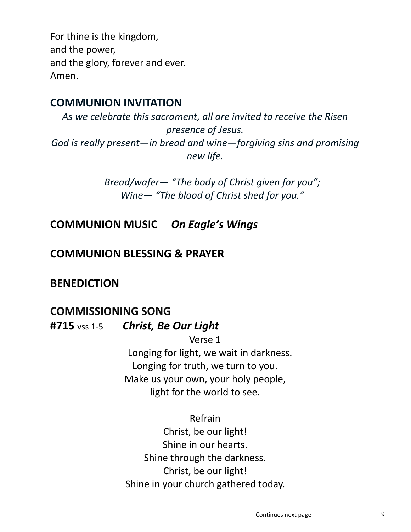For thine is the kingdom, and the power, and the glory, forever and ever. Amen.

## **COMMUNION INVITATION**

*As we celebrate this sacrament, all are invited to receive the Risen presence of Jesus. God is really present—in bread and wine—forgiving sins and promising new life.* 

> *Bread/wafer— "The body of Christ given for you"; Wine— "The blood of Christ shed for you."*

## **COMMUNION MUSIC** *On Eagle's Wings*

### **COMMUNION BLESSING & PRAYER**

**BENEDICTION**

### **COMMISSIONING SONG**

**#715** vss 1-5 *Christ, Be Our Light*

Verse 1

 Longing for light, we wait in darkness. Longing for truth, we turn to you. Make us your own, your holy people, light for the world to see.

Refrain Christ, be our light! Shine in our hearts. Shine through the darkness. Christ, be our light! Shine in your church gathered today.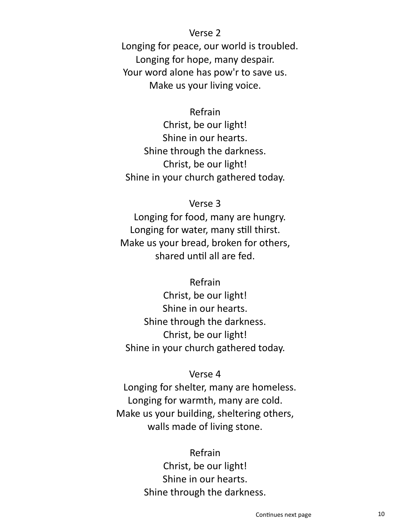#### Verse 2

 Longing for peace, our world is troubled. Longing for hope, many despair. Your word alone has pow'r to save us. Make us your living voice.

#### Refrain

Christ, be our light! Shine in our hearts. Shine through the darkness. Christ, be our light! Shine in your church gathered today.

#### Verse 3

 Longing for food, many are hungry. Longing for water, many still thirst. Make us your bread, broken for others, shared until all are fed.

#### Refrain

Christ, be our light! Shine in our hearts. Shine through the darkness. Christ, be our light! Shine in your church gathered today.

#### Verse 4

 Longing for shelter, many are homeless. Longing for warmth, many are cold. Make us your building, sheltering others, walls made of living stone.

#### Refrain

Christ, be our light! Shine in our hearts. Shine through the darkness.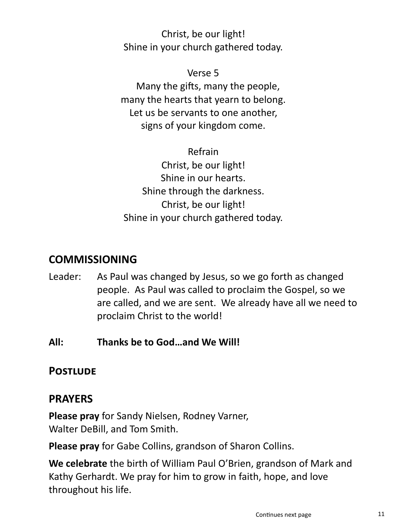Christ, be our light! Shine in your church gathered today.

Verse 5 Many the gifts, many the people, many the hearts that yearn to belong. Let us be servants to one another, signs of your kingdom come.

Refrain Christ, be our light! Shine in our hearts. Shine through the darkness. Christ, be our light! Shine in your church gathered today.

## **COMMISSIONING**

- Leader: As Paul was changed by Jesus, so we go forth as changed people. As Paul was called to proclaim the Gospel, so we are called, and we are sent. We already have all we need to proclaim Christ to the world!
- **All: Thanks be to God…and We Will!**

## **Postlude**

## **PRAYERS**

**Please pray** for Sandy Nielsen, Rodney Varner, Walter DeBill, and Tom Smith.

**Please pray** for Gabe Collins, grandson of Sharon Collins.

**We celebrate** the birth of William Paul O'Brien, grandson of Mark and Kathy Gerhardt. We pray for him to grow in faith, hope, and love throughout his life.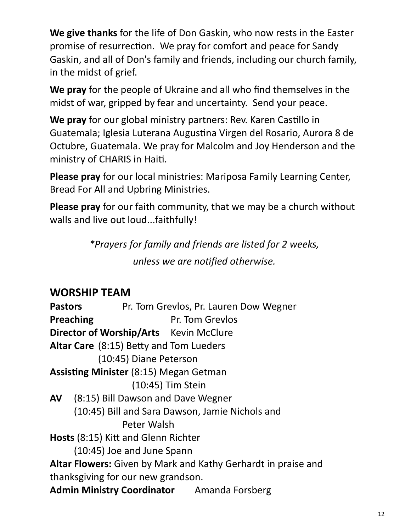**We give thanks** for the life of Don Gaskin, who now rests in the Easter promise of resurrection. We pray for comfort and peace for Sandy Gaskin, and all of Don's family and friends, including our church family, in the midst of grief.

**We pray** for the people of Ukraine and all who find themselves in the midst of war, gripped by fear and uncertainty. Send your peace.

**We pray** for our global ministry partners: Rev. Karen Castillo in Guatemala; Iglesia Luterana Augustina Virgen del Rosario, Aurora 8 de Octubre, Guatemala. We pray for Malcolm and Joy Henderson and the ministry of CHARIS in Haiti.

**Please pray** for our local ministries: Mariposa Family Learning Center, Bread For All and Upbring Ministries.

**Please pray** for our faith community, that we may be a church without walls and live out loud...faithfully!

> *\*Prayers for family and friends are listed for 2 weeks, unless we are notified otherwise.*

## **WORSHIP TEAM**

Pastors **Pr. Tom Grevlos, Pr. Lauren Dow Wegner Preaching Pr. Tom Grevios Director of Worship/Arts** Kevin McClure **Altar Care** (8:15) Betty and Tom Lueders (10:45) Diane Peterson **Assisting Minister** (8:15) Megan Getman (10:45) Tim Stein **AV** (8:15) Bill Dawson and Dave Wegner (10:45) Bill and Sara Dawson, Jamie Nichols and Peter Walsh **Hosts** (8:15) Kitt and Glenn Richter (10:45) Joe and June Spann **Altar Flowers:** Given by Mark and Kathy Gerhardt in praise and thanksgiving for our new grandson. **Admin Ministry Coordinator** Amanda Forsberg